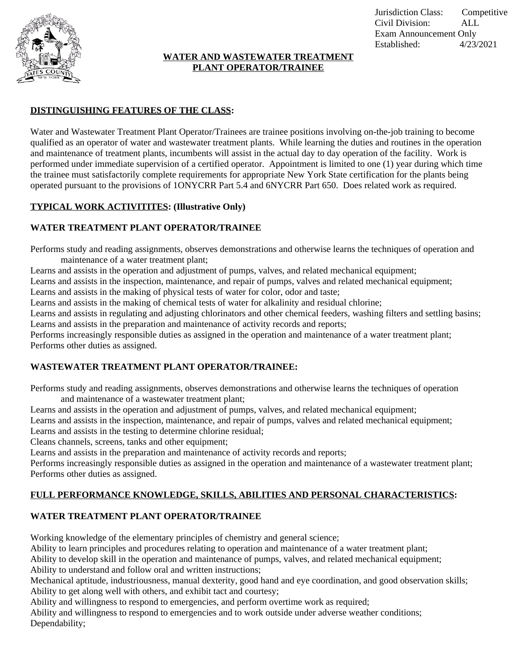

#### **WATER AND WASTEWATER TREATMENT PLANT OPERATOR/TRAINEE**

## **DISTINGUISHING FEATURES OF THE CLASS:**

Water and Wastewater Treatment Plant Operator/Trainees are trainee positions involving on-the-job training to become qualified as an operator of water and wastewater treatment plants. While learning the duties and routines in the operation and maintenance of treatment plants, incumbents will assist in the actual day to day operation of the facility. Work is performed under immediate supervision of a certified operator. Appointment is limited to one (1) year during which time the trainee must satisfactorily complete requirements for appropriate New York State certification for the plants being operated pursuant to the provisions of 1ONYCRR Part 5.4 and 6NYCRR Part 650. Does related work as required.

### **TYPICAL WORK ACTIVITITES: (Illustrative Only)**

#### **WATER TREATMENT PLANT OPERATOR/TRAINEE**

Performs study and reading assignments, observes demonstrations and otherwise learns the techniques of operation and maintenance of a water treatment plant;

Learns and assists in the operation and adjustment of pumps, valves, and related mechanical equipment;

Learns and assists in the inspection, maintenance, and repair of pumps, valves and related mechanical equipment;

Learns and assists in the making of physical tests of water for color, odor and taste;

Learns and assists in the making of chemical tests of water for alkalinity and residual chlorine;

Learns and assists in regulating and adjusting chlorinators and other chemical feeders, washing filters and settling basins; Learns and assists in the preparation and maintenance of activity records and reports;

Performs increasingly responsible duties as assigned in the operation and maintenance of a water treatment plant; Performs other duties as assigned.

# **WASTEWATER TREATMENT PLANT OPERATOR/TRAINEE:**

Performs study and reading assignments, observes demonstrations and otherwise learns the techniques of operation and maintenance of a wastewater treatment plant;

Learns and assists in the operation and adjustment of pumps, valves, and related mechanical equipment;

Learns and assists in the inspection, maintenance, and repair of pumps, valves and related mechanical equipment;

Learns and assists in the testing to determine chlorine residual;

Cleans channels, screens, tanks and other equipment;

Learns and assists in the preparation and maintenance of activity records and reports;

Performs increasingly responsible duties as assigned in the operation and maintenance of a wastewater treatment plant; Performs other duties as assigned.

# **FULL PERFORMANCE KNOWLEDGE, SKILLS, ABILITIES AND PERSONAL CHARACTERISTICS:**

# **WATER TREATMENT PLANT OPERATOR/TRAINEE**

Working knowledge of the elementary principles of chemistry and general science;

Ability to learn principles and procedures relating to operation and maintenance of a water treatment plant;

Ability to develop skill in the operation and maintenance of pumps, valves, and related mechanical equipment; Ability to understand and follow oral and written instructions;

Mechanical aptitude, industriousness, manual dexterity, good hand and eye coordination, and good observation skills; Ability to get along well with others, and exhibit tact and courtesy;

Ability and willingness to respond to emergencies, and perform overtime work as required;

Ability and willingness to respond to emergencies and to work outside under adverse weather conditions; Dependability;